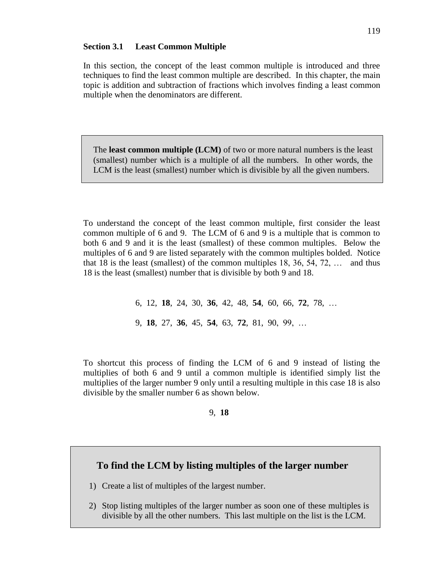## **Section 3.1 Least Common Multiple**

In this section, the concept of the least common multiple is introduced and three techniques to find the least common multiple are described. In this chapter, the main topic is addition and subtraction of fractions which involves finding a least common multiple when the denominators are different.

The **least common multiple (LCM)** of two or more natural numbers is the least (smallest) number which is a multiple of all the numbers. In other words, the LCM is the least (smallest) number which is divisible by all the given numbers.

To understand the concept of the least common multiple, first consider the least common multiple of 6 and 9. The LCM of 6 and 9 is a multiple that is common to both 6 and 9 and it is the least (smallest) of these common multiples. Below the multiples of 6 and 9 are listed separately with the common multiples bolded. Notice that 18 is the least (smallest) of the common multiples  $18, 36, 54, 72, \ldots$  and thus 18 is the least (smallest) number that is divisible by both 9 and 18.

> 6, 12, **18**, 24, 30, **36**, 42, 48, **54**, 60, 66, **72**, 78, … 9, **18**, 27, **36**, 45, **54**, 63, **72**, 81, 90, 99, …

To shortcut this process of finding the LCM of 6 and 9 instead of listing the multiplies of both 6 and 9 until a common multiple is identified simply list the multiplies of the larger number 9 only until a resulting multiple in this case 18 is also divisible by the smaller number 6 as shown below.

#### 9, **18**

# **To find the LCM by listing multiples of the larger number**

1) Create a list of multiples of the largest number.

2) Stop listing multiples of the larger number as soon one of these multiples is divisible by all the other numbers. This last multiple on the list is the LCM.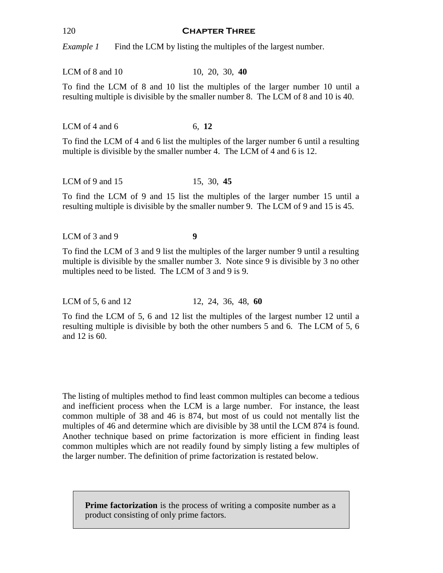### 120 **Chapter Three**

*Example 1* Find the LCM by listing the multiples of the largest number.

LCM of 8 and 10 10, 20, 30, 40

To find the LCM of 8 and 10 list the multiples of the larger number 10 until a resulting multiple is divisible by the smaller number 8. The LCM of 8 and 10 is 40.

LCM of 4 and 6 6, 12

To find the LCM of 4 and 6 list the multiples of the larger number 6 until a resulting multiple is divisible by the smaller number 4. The LCM of 4 and 6 is 12.

LCM of 9 and 15 15, 30, 45

To find the LCM of 9 and 15 list the multiples of the larger number 15 until a resulting multiple is divisible by the smaller number 9. The LCM of 9 and 15 is 45.

LCM of 3 and 9 **9** 

To find the LCM of 3 and 9 list the multiples of the larger number 9 until a resulting multiple is divisible by the smaller number 3. Note since 9 is divisible by 3 no other multiples need to be listed. The LCM of 3 and 9 is 9.

LCM of 5, 6 and 12 12, 24, 36, 48, 60

To find the LCM of 5, 6 and 12 list the multiples of the largest number 12 until a resulting multiple is divisible by both the other numbers 5 and 6. The LCM of 5, 6 and 12 is 60.

The listing of multiples method to find least common multiples can become a tedious and inefficient process when the LCM is a large number. For instance, the least common multiple of 38 and 46 is 874, but most of us could not mentally list the multiples of 46 and determine which are divisible by 38 until the LCM 874 is found. Another technique based on prime factorization is more efficient in finding least common multiples which are not readily found by simply listing a few multiples of the larger number. The definition of prime factorization is restated below.

**Prime factorization** is the process of writing a composite number as a product consisting of only prime factors.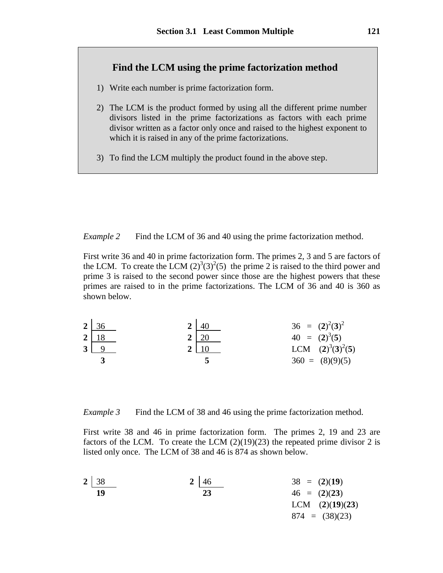## **Find the LCM using the prime factorization method**

- 1) Write each number is prime factorization form.
- 2) The LCM is the product formed by using all the different prime number divisors listed in the prime factorizations as factors with each prime divisor written as a factor only once and raised to the highest exponent to which it is raised in any of the prime factorizations.
- 3) To find the LCM multiply the product found in the above step.

*Example 2* Find the LCM of 36 and 40 using the prime factorization method.

First write 36 and 40 in prime factorization form. The primes 2, 3 and 5 are factors of the LCM. To create the LCM  $(2)^3(3)^2(5)$  the prime 2 is raised to the third power and prime 3 is raised to the second power since those are the highest powers that these primes are raised to in the prime factorizations. The LCM of 36 and 40 is 360 as shown below.

| $2 \overline{36}$ | -40         | $36 = (2)^2(3)^2$   |
|-------------------|-------------|---------------------|
| $2 \mid 18$       | $2 \mid 20$ | $40 = (2)^3(5)$     |
| $3 \mid 9$        |             | LCM $(2)^3(3)^2(5)$ |
|                   |             | $360 = (8)(9)(5)$   |

*Example 3* Find the LCM of 38 and 46 using the prime factorization method.

First write 38 and 46 in prime factorization form. The primes 2, 19 and 23 are factors of the LCM. To create the LCM  $(2)(19)(23)$  the repeated prime divisor 2 is listed only once. The LCM of 38 and 46 is 874 as shown below.

| 2              | $\frac{38}{19}$ | 2 | $\frac{46}{23}$ | 38 = (2)(19) |
|----------------|-----------------|---|-----------------|--------------|
| 46 = (2)(23)   | LCM (2)(19)(23) |   |                 |              |
| 874 = (38)(23) |                 |   |                 |              |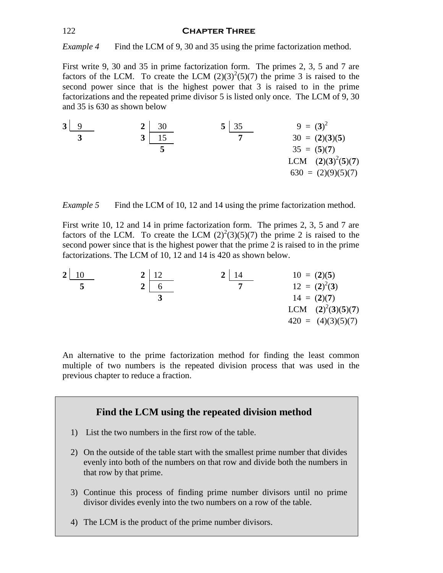## 122 **Chapter Three**

*Example 4* Find the LCM of 9, 30 and 35 using the prime factorization method.

First write 9, 30 and 35 in prime factorization form. The primes 2, 3, 5 and 7 are factors of the LCM. To create the LCM  $(2)(3)^{2}(5)(7)$  the prime 3 is raised to the second power since that is the highest power that 3 is raised to in the prime factorizations and the repeated prime divisor 5 is listed only once. The LCM of 9, 30 and 35 is 630 as shown below

**3** 9 **2** 30 **5** 35 9 = (**3**) 2  **3 3** 15 **7** 30 = (**2**)(**3**)(**5**) **5** 35 = (**5**)(**7**) LCM (**2**)(**3**) 2 (**5**)(**7**) 630 = (2)(9)(5)(7)

*Example 5* Find the LCM of 10, 12 and 14 using the prime factorization method.

First write 10, 12 and 14 in prime factorization form. The primes 2, 3, 5 and 7 are factors of the LCM. To create the LCM  $(2)^{2}(3)(5)(7)$  the prime 2 is raised to the second power since that is the highest power that the prime 2 is raised to in the prime factorizations. The LCM of 10, 12 and 14 is 420 as shown below.

**2** 10 **2** 12 **2** 14 10 = (**2**)(**5**)  **5 2** 6 **7** 12 = (**2**) 2 (**3**) **3** 14 = (**2**)(**7**) LCM (**2**) 2 (**3**)(**5**)(**7**) 420 = (4)(3)(5)(7)

An alternative to the prime factorization method for finding the least common multiple of two numbers is the repeated division process that was used in the previous chapter to reduce a fraction.

## **Find the LCM using the repeated division method**

- 1) List the two numbers in the first row of the table.
- 2) On the outside of the table start with the smallest prime number that divides evenly into both of the numbers on that row and divide both the numbers in that row by that prime.
- 3) Continue this process of finding prime number divisors until no prime divisor divides evenly into the two numbers on a row of the table.
- 4) The LCM is the product of the prime number divisors.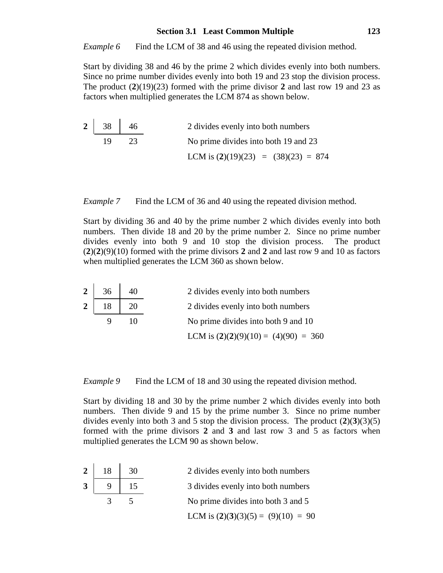## **Section 3.1 Least Common Multiple 123**

*Example 6* Find the LCM of 38 and 46 using the repeated division method.

Start by dividing 38 and 46 by the prime 2 which divides evenly into both numbers. Since no prime number divides evenly into both 19 and 23 stop the division process. The product (**2**)(19)(23) formed with the prime divisor **2** and last row 19 and 23 as factors when multiplied generates the LCM 874 as shown below.

| $2 \mid 38 \mid 46$ |    | 2 divides evenly into both numbers    |
|---------------------|----|---------------------------------------|
| 19                  | フス | No prime divides into both 19 and 23  |
|                     |    | LCM is $(2)(19)(23) = (38)(23) = 874$ |

*Example 7* Find the LCM of 36 and 40 using the repeated division method.

Start by dividing 36 and 40 by the prime number 2 which divides evenly into both numbers. Then divide 18 and 20 by the prime number 2. Since no prime number divides evenly into both 9 and 10 stop the division process. The product  $(2)(2)(9)(10)$  formed with the prime divisors 2 and 2 and last row 9 and 10 as factors when multiplied generates the LCM 360 as shown below.

| $2 \mid 36$ | 40           | 2 divides evenly into both numbers     |
|-------------|--------------|----------------------------------------|
| $2 \mid 18$ | $\boxed{20}$ | 2 divides evenly into both numbers     |
|             | 10           | No prime divides into both 9 and 10    |
|             |              | LCM is $(2)(2)(9)(10) = (4)(90) = 360$ |

*Example 9* Find the LCM of 18 and 30 using the repeated division method.

Start by dividing 18 and 30 by the prime number 2 which divides evenly into both numbers. Then divide 9 and 15 by the prime number 3. Since no prime number divides evenly into both 3 and 5 stop the division process. The product (**2**)(**3**)(3)(5) formed with the prime divisors **2** and **3** and last row 3 and 5 as factors when multiplied generates the LCM 90 as shown below.

|                | $2 \mid 18 \mid$ | 30 | 2 divides evenly into both numbers   |
|----------------|------------------|----|--------------------------------------|
| 3 <sup>1</sup> |                  |    | 3 divides evenly into both numbers   |
|                | 3                |    | No prime divides into both 3 and 5   |
|                |                  |    | LCM is $(2)(3)(3)(5) = (9)(10) = 90$ |